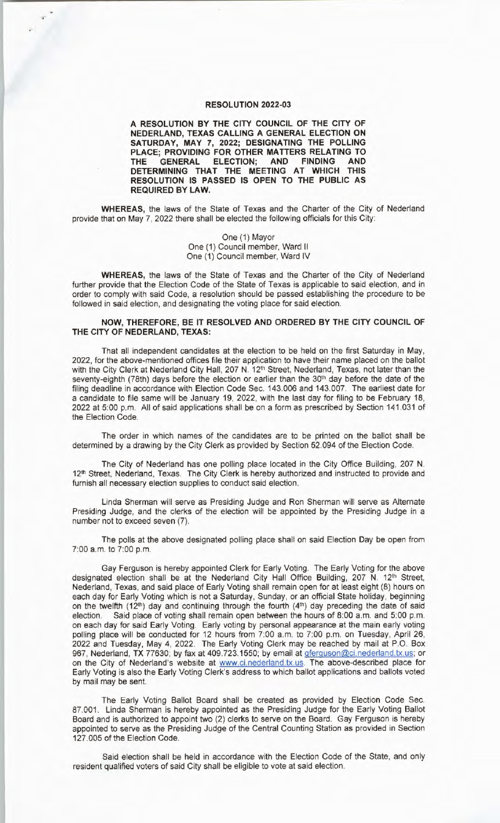## **RESOLUTION 2022-03**

**A RESOLUTION BY THE CITY COUNCIL OF THE CITY OF NEDERLAND, TEXAS CALLING A GENERAL ELECTION ON SATURDAY, MAY 7, 2022; DESIGNATING THE POLLING PLACE; PROVIDING FOR OTHER MATTERS RELATING TO THE GENERAL ELECTION; AND FINDING AND DETERMINING THAT THE MEETING AT WHICH THIS RESOLUTION IS PASSED IS OPEN TO THE PUBLIC AS REQUIRED BY LAW.** 

**WHEREAS,** the laws of the State of Texas and the Charter of the City of Nederland provide that on May 7, 2022 there shall be elected the following officials for this City:

> One (1) Mayor One (1) Council member, Ward II One (1) Council member, Ward IV

**WHEREAS,** the laws of the State of Texas and the Charter of the City of Nederland further provide that the Election Code of the State of Texas is applicable to said election, and in order to comply with said Code, a resolution should be passed establishing the procedure to be followed in said election, and designating the voting place for said election.

## **NOW, THEREFORE, BE IT RESOLVED AND ORDERED BY THE CITY COUNCIL OF THE CITY OF NEDERLAND, TEXAS:**

That all independent candidates at the election to be held on the first Saturday in May, 2022, for the above-mentioned offices file their application to have their name placed on the ballot with the City Clerk at Nederland City Hall, 207 N. 12<sup>th</sup> Street, Nederland, Texas, not later than the seventy-eighth (78th) days before the election or earlier than the 30<sup>th</sup> day before the date of the filing deadline in accordance with Election Code Sec. 143.006 and 143.007. The earliest date for a candidate to file same will be January 19, 2022, with the last day for filing to be February 18, 2022 at 5:00 p.m. All of said applications shall be on a form as prescribed by Section 141 .031 of the Election Code.

The order in which names of the candidates are to be printed on the ballot shall be determined by a drawing by the City Clerk as provided by Section 52.094 of the Election Code.

The City of Nederland has one polling place located in the City Office Building, 207 N. 12<sup>th</sup> Street, Nederland, Texas. The City Clerk is hereby authorized and instructed to provide and furnish all necessary election supplies to conduct said election.

Linda Sherman will serve as Presiding Judge and Ron Sherman will serve as Alternate Presiding Judge, and the clerks of the election will be appointed by the Presiding Judge in a number not to exceed seven (7).

The polls at the above designated polling place shall on said Election Day be open from 7:00 a.m. to 7:00 p.m.

Gay Ferguson is hereby appointed Clerk for Early Voting. The Early Voting for the above designated election shall be at the Nederland City Hall Office Building, 207 N. 12<sup>th</sup> Street, Nederland, Texas, and said place of Early Voting shall remain open for at least eight (8) hours on each day for Early Voting which is not a Saturday, Sunday, or an official State holiday, beginning on the twelfth (12<sup>th</sup>) day and continuing through the fourth (4<sup>th</sup>) day preceding the date of said election. Said place of voting shall remain open between the hours of 8:00 a.m. and 5:00 p.m. Said place of voting shall remain open between the hours of 8:00 a.m. and 5:00 p.m. on each day for said Early Voting. Early voting by personal appearance at the main early voting polling place will be conducted for 12 hours from 7:00 a.m. to 7:00 p.m. on Tuesday, April 26, 2022 and Tuesday, May 4, 2022. The Early Voting Clerk may be reached by mail at P.O. Box 967, Nederland, TX 77630; by fax at 409.723.1550; by email at gferguson@ci.nederland.tx.us; or on the City of Nederland's website at www.ci.nederland.tx.us. The above-described place for Early Voting is also the Early Voting Clerk's address to which ballot applications and ballots voted by mail may be sent.

The Early Voting Ballot Board shall be created as provided by Election Code Sec. 87.001. Linda Sherman is hereby appointed as the Presiding Judge for the Early Voting Ballot Board and is authorized to appoint two (2) clerks to serve on the Board. Gay Ferguson is hereby appointed to serve as the Presiding Judge of the Central Counting Station as provided in Section 127. 005 of the Election Code.

Said election shall be held in accordance with the Election Code of the State, and only resident qualified voters of said City shall be eligible to vote at said election.